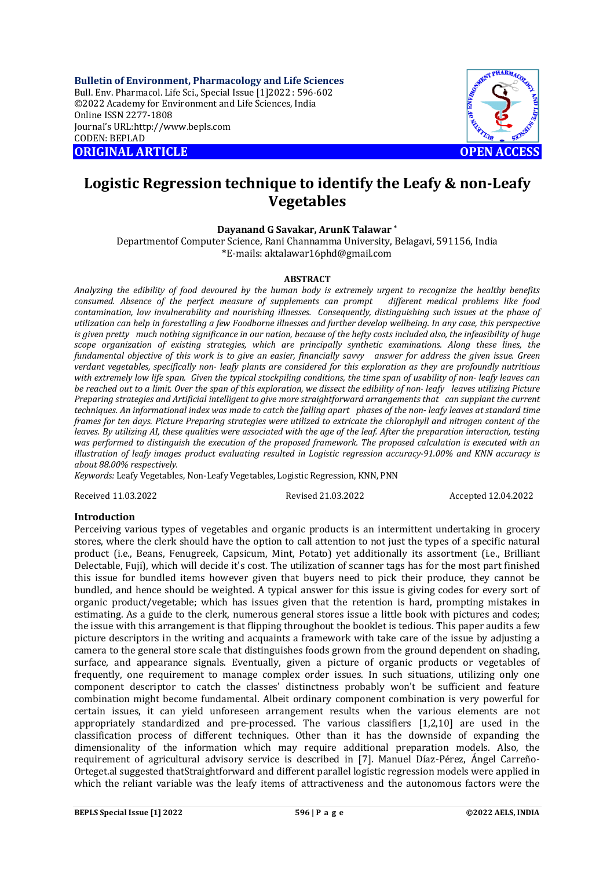**Bulletin of Environment, Pharmacology and Life Sciences** Bull. Env. Pharmacol. Life Sci., Special Issue [1]2022 : 596-602 ©2022 Academy for Environment and Life Sciences, India Online ISSN 2277-1808 Journal's URL:<http://www.bepls.com> CODEN: BEPLAD **ORIGINAL ARTICLE OPEN ACCESS** 



# **Logistic Regression technique to identify the Leafy & non-Leafy Vegetables**

## **Dayanand G Savakar, ArunK Talawar \***

Departmentof Computer Science, Rani Channamma University, Belagavi, 591156, India \*E-mails: [aktalawar16phd@gmail.com](mailto:aktalawar16phd@gmail.com)

#### **ABSTRACT**

*Analyzing the edibility of food devoured by the human body is extremely urgent to recognize the healthy benefits consumed. Absence of the perfect measure of supplements can prompt contamination, low invulnerability and nourishing illnesses. Consequently, distinguishing such issues at the phase of utilization can help in forestalling a few Foodborne illnesses and further develop wellbeing. In any case, this perspective is given pretty much nothing significance in our nation, because of the hefty costs included also, the infeasibility of huge scope organization of existing strategies, which are principally synthetic examinations. Along these lines, the*  fundamental objective of this work is to give an easier, financially savvy answer for address the given issue. Green *verdant vegetables, specifically non- leafy plants are considered for this exploration as they are profoundly nutritious with extremely low life span. Given the typical stockpiling conditions, the time span of usability of non- leafy leaves can be reached out to a limit. Over the span of this exploration, we dissect the edibility of non- leafy leaves utilizing Picture Preparing strategies and Artificial intelligent to give more straightforward arrangements that can supplant the current techniques. An informational index was made to catch the falling apart phases of the non- leafy leaves at standard time frames for ten days. Picture Preparing strategies were utilized to extricate the chlorophyll and nitrogen content of the leaves. By utilizing AI, these qualities were associated with the age of the leaf. After the preparation interaction, testing was performed to distinguish the execution of the proposed framework. The proposed calculation is executed with an illustration of leafy images product evaluating resulted in Logistic regression accuracy-91.00% and KNN accuracy is about 88.00% respectively.*

*Keywords:* Leafy Vegetables, Non-Leafy Vegetables, Logistic Regression, KNN, PNN

Received 11.03.2022 Revised 21.03.2022 Accepted 12.04.2022

## **Introduction**

Perceiving various types of vegetables and organic products is an intermittent undertaking in grocery stores, where the clerk should have the option to call attention to not just the types of a specific natural product (i.e., Beans, Fenugreek, Capsicum, Mint, Potato) yet additionally its assortment (i.e., Brilliant Delectable, Fuji), which will decide it's cost. The utilization of scanner tags has for the most part finished this issue for bundled items however given that buyers need to pick their produce, they cannot be bundled, and hence should be weighted. A typical answer for this issue is giving codes for every sort of organic product/vegetable; which has issues given that the retention is hard, prompting mistakes in estimating. As a guide to the clerk, numerous general stores issue a little book with pictures and codes; the issue with this arrangement is that flipping throughout the booklet is tedious. This paper audits a few picture descriptors in the writing and acquaints a framework with take care of the issue by adjusting a camera to the general store scale that distinguishes foods grown from the ground dependent on shading, surface, and appearance signals. Eventually, given a picture of organic products or vegetables of frequently, one requirement to manage complex order issues. In such situations, utilizing only one component descriptor to catch the classes' distinctness probably won't be sufficient and feature combination might become fundamental. Albeit ordinary component combination is very powerful for certain issues, it can yield unforeseen arrangement results when the various elements are not appropriately standardized and pre-processed. The various classifiers [1,2,10] are used in the classification process of different techniques. Other than it has the downside of expanding the dimensionality of the information which may require additional preparation models. Also, the requirement of agricultural advisory service is described in [7]. Manuel Díaz-Pérez, Ángel Carreño-Orteget.al suggested thatStraightforward and different parallel logistic regression models were applied in which the reliant variable was the leafy items of attractiveness and the autonomous factors were the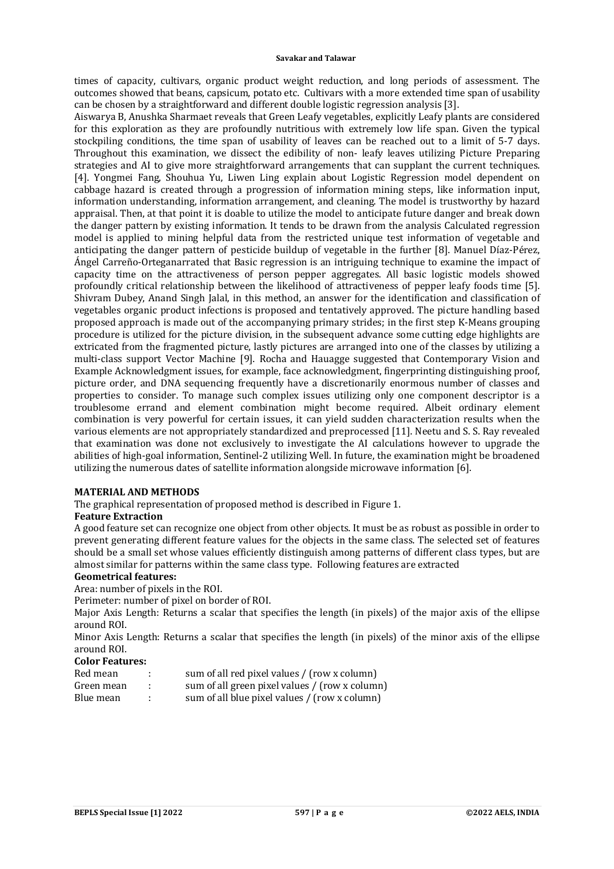times of capacity, cultivars, organic product weight reduction, and long periods of assessment. The outcomes showed that beans, capsicum, potato etc. Cultivars with a more extended time span of usability can be chosen by a straightforward and different double logistic regression analysis [3].

Aiswarya B, Anushka Sharmaet reveals that Green Leafy vegetables, explicitly Leafy plants are considered for this exploration as they are profoundly nutritious with extremely low life span. Given the typical stockpiling conditions, the time span of usability of leaves can be reached out to a limit of 5-7 days. Throughout this examination, we dissect the edibility of non- leafy leaves utilizing Picture Preparing strategies and AI to give more straightforward arrangements that can supplant the current techniques. [4]. Yongmei Fang, Shouhua Yu, Liwen Ling explain about Logistic Regression model dependent on cabbage hazard is created through a progression of information mining steps, like information input, information understanding, information arrangement, and cleaning. The model is trustworthy by hazard appraisal. Then, at that point it is doable to utilize the model to anticipate future danger and break down the danger pattern by existing information. It tends to be drawn from the analysis Calculated regression model is applied to mining helpful data from the restricted unique test information of vegetable and anticipating the danger pattern of pesticide buildup of vegetable in the further [8]. Manuel Díaz-Pérez, Ángel Carreño-Orteganarrated that Basic regression is an intriguing technique to examine the impact of capacity time on the attractiveness of person pepper aggregates. All basic logistic models showed profoundly critical relationship between the likelihood of attractiveness of pepper leafy foods time [5]. Shivram Dubey, Anand Singh Jalal, in this method, an answer for the identification and classification of vegetables organic product infections is proposed and tentatively approved. The picture handling based proposed approach is made out of the accompanying primary strides; in the first step K-Means grouping procedure is utilized for the picture division, in the subsequent advance some cutting edge highlights are extricated from the fragmented picture, lastly pictures are arranged into one of the classes by utilizing a multi-class support Vector Machine [9]. Rocha and Hauagge suggested that Contemporary Vision and Example Acknowledgment issues, for example, face acknowledgment, fingerprinting distinguishing proof, picture order, and DNA sequencing frequently have a discretionarily enormous number of classes and properties to consider. To manage such complex issues utilizing only one component descriptor is a troublesome errand and element combination might become required. Albeit ordinary element combination is very powerful for certain issues, it can yield sudden characterization results when the various elements are not appropriately standardized and preprocessed [11]. Neetu and S. S. Ray revealed that examination was done not exclusively to investigate the AI calculations however to upgrade the abilities of high-goal information, Sentinel-2 utilizing Well. In future, the examination might be broadened utilizing the numerous dates of satellite information alongside microwave information [6].

## **MATERIAL AND METHODS**

The graphical representation of proposed method is described in Figure 1.

# **Feature Extraction**

A good feature set can recognize one object from other objects. It must be as robust as possible in order to prevent generating different feature values for the objects in the same class. The selected set of features should be a small set whose values efficiently distinguish among patterns of different class types, but are almost similar for patterns within the same class type. Following features are extracted

## **Geometrical features:**

Area: number of pixels in the ROI.

Perimeter: number of pixel on border of ROI.

Major Axis Length: Returns a scalar that specifies the length (in pixels) of the major axis of the ellipse around ROI.

Minor Axis Length: Returns a scalar that specifies the length (in pixels) of the minor axis of the ellipse around ROI.

# **Color Features:**

| Red mean   | sum of all red pixel values / (row x column)   |
|------------|------------------------------------------------|
| Green mean | sum of all green pixel values / (row x column) |
| Blue mean  | sum of all blue pixel values / (row x column)  |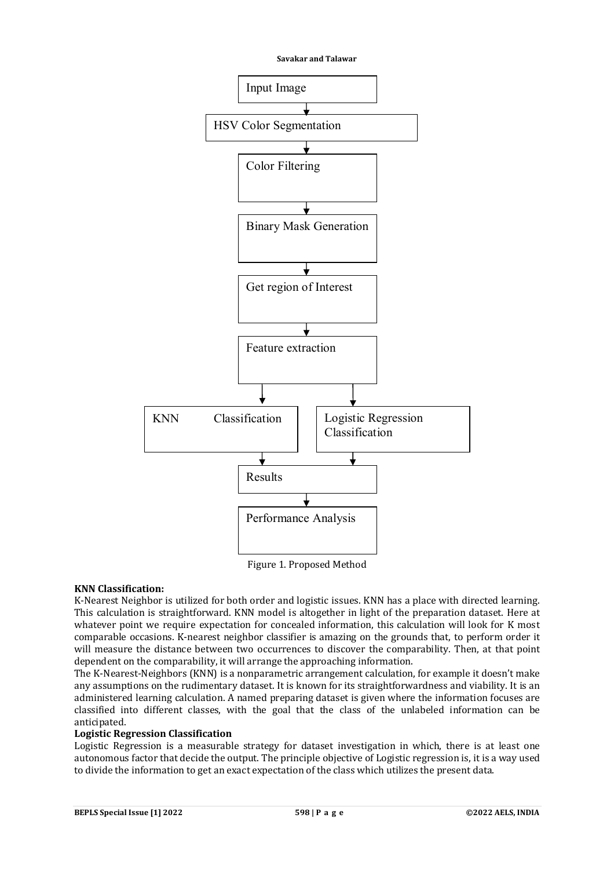

Figure 1. Proposed Method

# **KNN Classification:**

K-Nearest Neighbor is utilized for both order and logistic issues. KNN has a place with directed learning. This calculation is straightforward. KNN model is altogether in light of the preparation dataset. Here at whatever point we require expectation for concealed information, this calculation will look for K most comparable occasions. K-nearest neighbor classifier is amazing on the grounds that, to perform order it will measure the distance between two occurrences to discover the comparability. Then, at that point dependent on the comparability, it will arrange the approaching information.

The K-Nearest-Neighbors (KNN) is a nonparametric arrangement calculation, for example it doesn't make any assumptions on the rudimentary dataset. It is known for its straightforwardness and viability. It is an administered learning calculation. A named preparing dataset is given where the information focuses are classified into different classes, with the goal that the class of the unlabeled information can be anticipated.

## **Logistic Regression Classification**

Logistic Regression is a measurable strategy for dataset investigation in which, there is at least one autonomous factor that decide the output. The principle objective of Logistic regression is, it is a way used to divide the information to get an exact expectation of the class which utilizes the present data.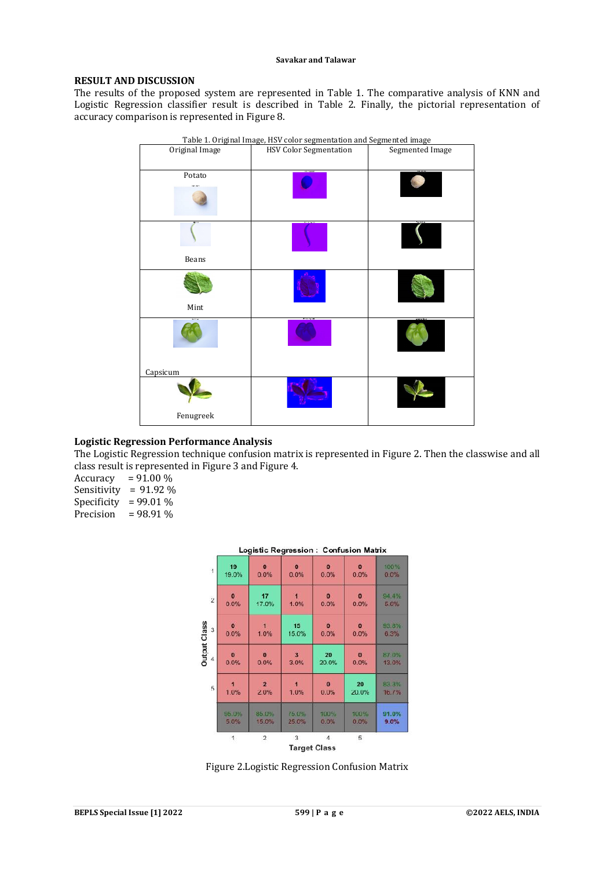# **RESULT AND DISCUSSION**

The results of the proposed system are represented in Table 1. The comparative analysis of KNN and Logistic Regression classifier result is described in Table 2. Finally, the pictorial representation of accuracy comparison is represented in Figure 8.

| Table 1. Original Image, HSV color segmentation and Segmented image |                               |                 |  |  |  |  |  |  |
|---------------------------------------------------------------------|-------------------------------|-----------------|--|--|--|--|--|--|
| Original Image                                                      | <b>HSV Color Segmentation</b> | Segmented Image |  |  |  |  |  |  |
| Potato                                                              |                               |                 |  |  |  |  |  |  |
| Beans                                                               |                               |                 |  |  |  |  |  |  |
| Mint                                                                |                               |                 |  |  |  |  |  |  |
| Capsicum                                                            |                               |                 |  |  |  |  |  |  |
|                                                                     |                               |                 |  |  |  |  |  |  |
| Fenugreek                                                           |                               |                 |  |  |  |  |  |  |

# **Logistic Regression Performance Analysis**

The Logistic Regression technique confusion matrix is represented in Figure 2. Then the classwise and all class result is represented in Figure 3 and Figure 4.

Accuracy =  $91.00\%$ Sensitivity = 91.92 % Specificity =  $99.01\%$ Precision =  $98.91\%$ 

|                          |                      |                      |                   |                      | Logistic Regression: Confusion Matrix |                |
|--------------------------|----------------------|----------------------|-------------------|----------------------|---------------------------------------|----------------|
| $\overline{1}$           | 19<br>19.0%          | $\bullet$<br>0.0%    | $\bullet$<br>0.0% | $\mathbf{0}$<br>0.0% | $\mathbf{o}$<br>0.0%                  | 100%<br>0.0%   |
| $\overline{2}$           | $\mathbf{0}$<br>0.0% | 17<br>17.0%          | 1.0%              | $\bf{0}$<br>0.0%     | $\Omega$<br>0.0%                      | 94.4%<br>5.6%  |
| 3                        | $\bullet$<br>0.0%    | 1.0%                 | 15<br>15.0%       | $\theta$<br>0.0%     | $\bullet$<br>0.0%                     | 93.8%<br>6.3%  |
| <b>Output Class</b><br>4 | $\mathbf{0}$<br>0.0% | $\bf{0}$<br>0.0%     | 3<br>3.0%         | 20<br>20.0%          | $\mathbf{0}$<br>0.0%                  | 87.0%<br>13.0% |
| 5                        | 1.0%                 | $\mathbf{2}$<br>2.0% | 4<br>1.0%         | $\bf{0}$<br>0.0%     | 20<br>20.0%                           | 83.3%<br>16.7% |
|                          | 95.0%<br>5.0%        | 85.0%<br>15.0%       | 75.0%<br>25.0%    | 100%<br>0.0%         | 100%<br>0.0%                          | 91.0%<br>9.0%  |
|                          | 1                    | $\overline{2}$       | 3                 | $\overline{4}$       | 5                                     |                |
|                          |                      |                      |                   | <b>Target Class</b>  |                                       |                |

Figure 2.Logistic Regression Confusion Matrix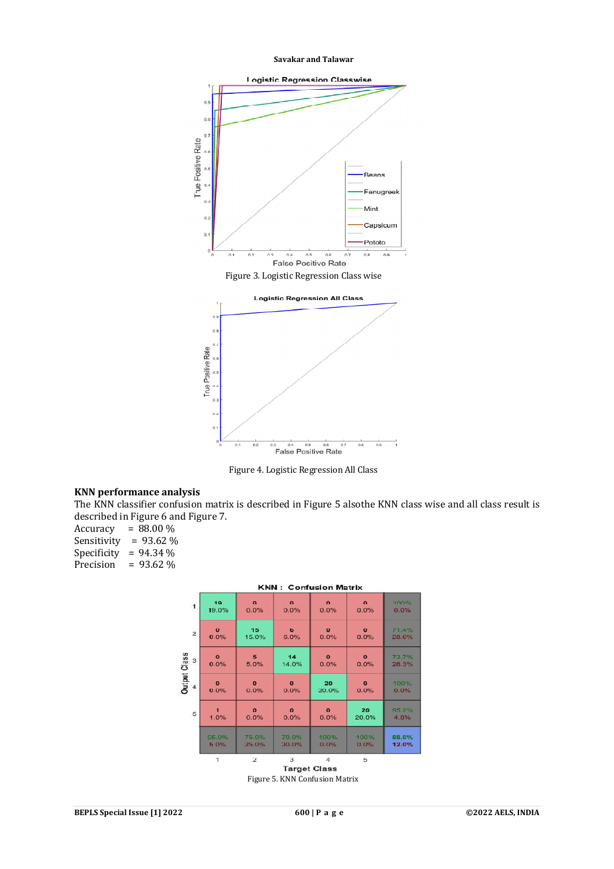

Figure 3. Logistic Regression Class wise



Figure 4. Logistic Regression All Class

### **KNN performance analysis**

The KNN classifier confusion matrix is described in Figure 5 alsothe KNN class wise and all class result is described in Figure 6 and Figure 7.

Accuracy =  $88.00\%$ Sensitivity =  $93.62\%$ Specificity =  $94.34\%$ <br>Precision =  $93.62\%$  $= 93.62 \%$ 



Figure 5. KNN Confusion Matrix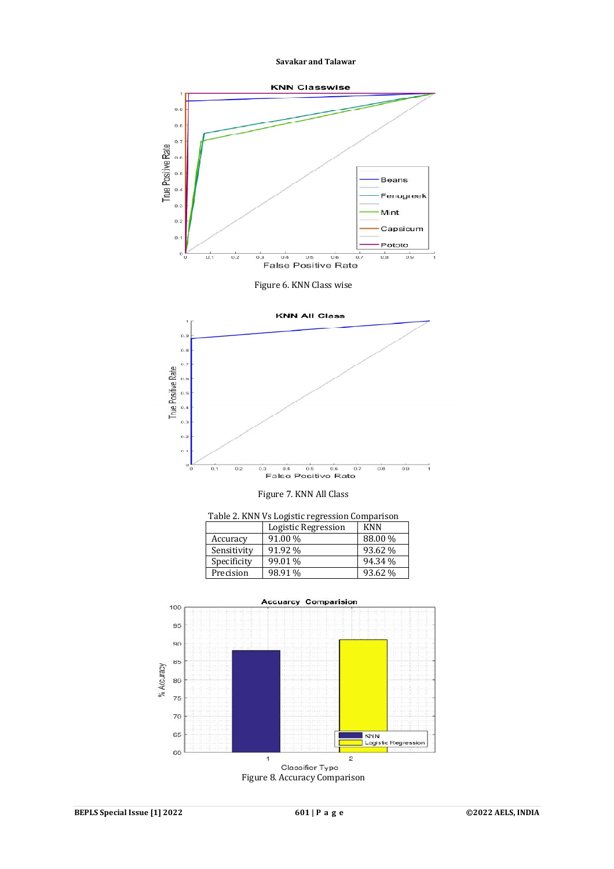

 $70$ 65

 $60$ 

 $\overline{z}$ 

|<br>| KNN<br>| Logistic Regression

Figure 8. Accuracy Comparison

Classifier Type